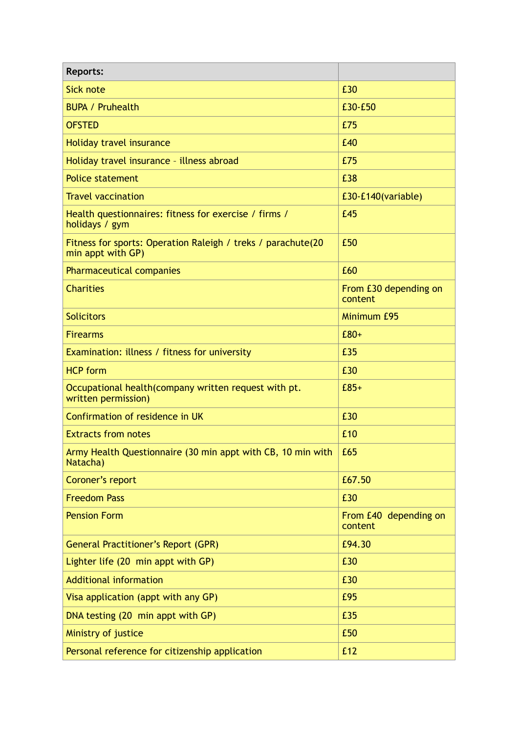| <b>Reports:</b>                                                                   |                                  |
|-----------------------------------------------------------------------------------|----------------------------------|
| <b>Sick note</b>                                                                  | £30                              |
| <b>BUPA / Pruhealth</b>                                                           | £30-£50                          |
| <b>OFSTED</b>                                                                     | £75                              |
| Holiday travel insurance                                                          | £40                              |
| Holiday travel insurance - illness abroad                                         | £75                              |
| <b>Police statement</b>                                                           | £38                              |
| <b>Travel vaccination</b>                                                         | £30-£140(variable)               |
| Health questionnaires: fitness for exercise / firms /<br>holidays / gym           | £45                              |
| Fitness for sports: Operation Raleigh / treks / parachute(20<br>min appt with GP) | £50                              |
| <b>Pharmaceutical companies</b>                                                   | £60                              |
| <b>Charities</b>                                                                  | From £30 depending on<br>content |
| <b>Solicitors</b>                                                                 | Minimum £95                      |
| <b>Firearms</b>                                                                   | $E80+$                           |
| Examination: illness / fitness for university                                     | £35                              |
| <b>HCP form</b>                                                                   | £30                              |
| Occupational health (company written request with pt.<br>written permission)      | $E85+$                           |
| Confirmation of residence in UK                                                   | £30                              |
| <b>Extracts from notes</b>                                                        | £10                              |
| Army Health Questionnaire (30 min appt with CB, 10 min with<br>Natacha)           | £65                              |
| Coroner's report                                                                  | £67.50                           |
| <b>Freedom Pass</b>                                                               | £30                              |
| <b>Pension Form</b>                                                               | From £40 depending on<br>content |
| <b>General Practitioner's Report (GPR)</b>                                        | £94.30                           |
| Lighter life (20 min appt with GP)                                                | £30                              |
| <b>Additional information</b>                                                     | £30                              |
| Visa application (appt with any GP)                                               | £95                              |
| DNA testing (20 min appt with GP)                                                 | £35                              |
| Ministry of justice                                                               | £50                              |
| Personal reference for citizenship application                                    | £12                              |